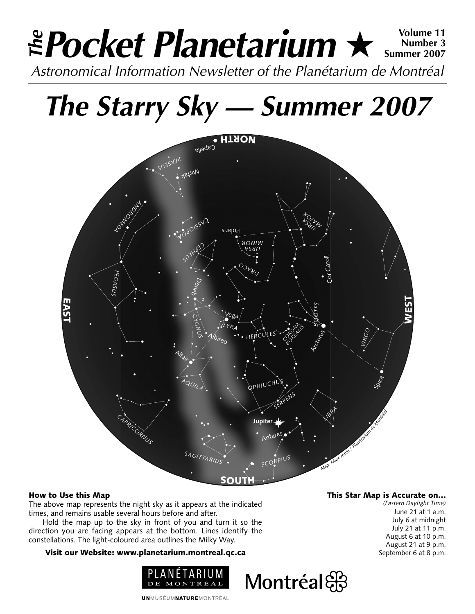### **Pocket Planetarium** ★ **Volume 11** Astronomical Information Newsletter of the Planétarium de Montréal **The Number 3 Summer 2007**

## **The Starry Sky — Summer 2007**



### How to Use this Map

The above map represents the night sky as it appears at the indicated times, and remains usable several hours before and after.

Hold the map up to the sky in front of you and turn it so the direction you are facing appears at the bottom. Lines identify the constellations. The light-coloured area outlines the Milky Way.

#### Visit our Website: www.planetarium.montreal.qc.ca



#### **UNMUSÉUMNATUREMONTRÉAL**

### This Star Map is Accurate on…

Montréal

*(Eastern Daylight Time)* June 21 at 1 a.m. July 6 at midnight July 21 at 11 p.m. August 6 at 10 p.m. August 21 at 9 p.m. September 6 at 8 p.m.